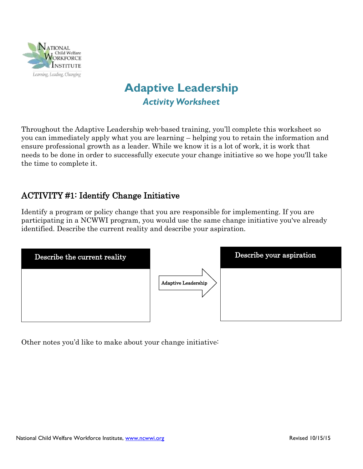

# **Adaptive Leadership** *Activity Worksheet*

Throughout the Adaptive Leadership web-based training, you'll complete this worksheet so you can immediately apply what you are learning – helping you to retain the information and ensure professional growth as a leader. While we know it is a lot of work, it is work that needs to be done in order to successfully execute your change initiative so we hope you'll take the time to complete it.

### ACTIVITY #1: Identify Change Initiative

Identify a program or policy change that you are responsible for implementing. If you are participating in a NCWWI program, you would use the same change initiative you've already identified. Describe the current reality and describe your aspiration.

| Describe the current reality |                            | Describe your aspiration |
|------------------------------|----------------------------|--------------------------|
|                              | <b>Adaptive Leadership</b> |                          |

Other notes you'd like to make about your change initiative: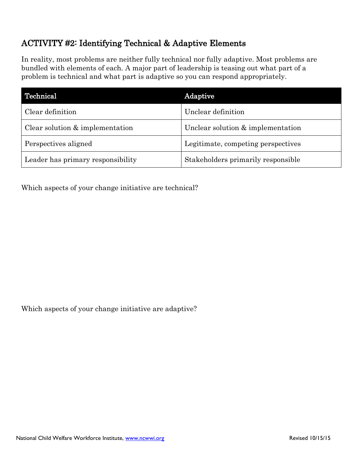## ACTIVITY #2: Identifying Technical & Adaptive Elements

In reality, most problems are neither fully technical nor fully adaptive. Most problems are bundled with elements of each. A major part of leadership is teasing out what part of a problem is technical and what part is adaptive so you can respond appropriately.

| Technical                         | Adaptive                           |
|-----------------------------------|------------------------------------|
| Clear definition                  | Unclear definition                 |
| Clear solution $&$ implementation | Unclear solution & implementation  |
| Perspectives aligned              | Legitimate, competing perspectives |
| Leader has primary responsibility | Stakeholders primarily responsible |

Which aspects of your change initiative are technical?

Which aspects of your change initiative are adaptive?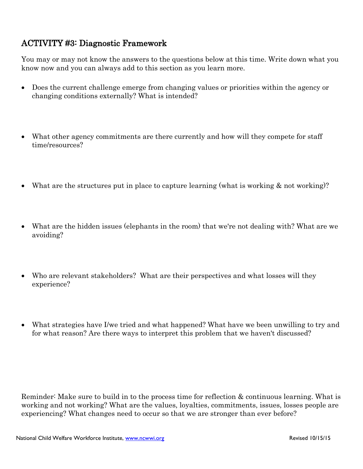#### ACTIVITY #3: Diagnostic Framework

You may or may not know the answers to the questions below at this time. Write down what you know now and you can always add to this section as you learn more.

- Does the current challenge emerge from changing values or priorities within the agency or changing conditions externally? What is intended?
- What other agency commitments are there currently and how will they compete for staff time/resources?
- What are the structures put in place to capture learning (what is working  $\&$  not working)?
- What are the hidden issues (elephants in the room) that we're not dealing with? What are we avoiding?
- Who are relevant stakeholders? What are their perspectives and what losses will they experience?
- What strategies have I/we tried and what happened? What have we been unwilling to try and for what reason? Are there ways to interpret this problem that we haven't discussed?

Reminder: Make sure to build in to the process time for reflection & continuous learning. What is working and not working? What are the values, loyalties, commitments, issues, losses people are experiencing? What changes need to occur so that we are stronger than ever before?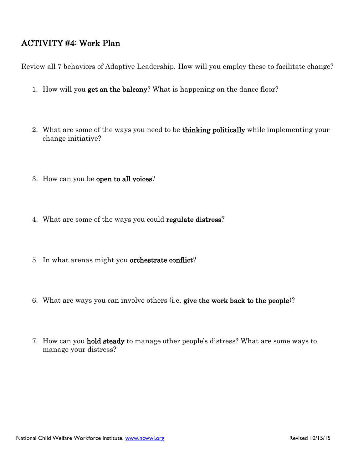#### ACTIVITY #4: Work Plan

Review all 7 behaviors of Adaptive Leadership. How will you employ these to facilitate change?

- 1. How will you get on the balcony? What is happening on the dance floor?
- 2. What are some of the ways you need to be thinking politically while implementing your change initiative?
- 3. How can you be open to all voices?
- 4. What are some of the ways you could regulate distress?
- 5. In what arenas might you orchestrate conflict?
- 6. What are ways you can involve others (i.e. give the work back to the people)?
- 7. How can you hold steady to manage other people's distress? What are some ways to manage your distress?